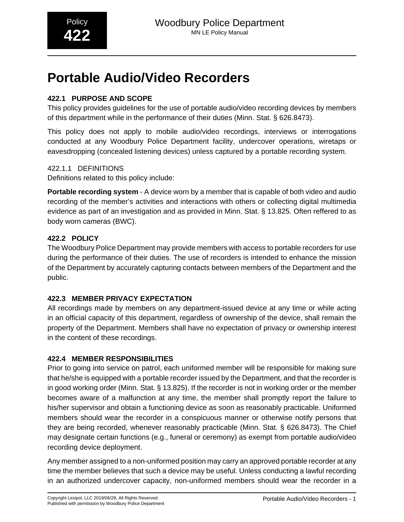# **Portable Audio/Video Recorders**

## **422.1 PURPOSE AND SCOPE**

This policy provides guidelines for the use of portable audio/video recording devices by members of this department while in the performance of their duties (Minn. Stat. § 626.8473).

This policy does not apply to mobile audio/video recordings, interviews or interrogations conducted at any Woodbury Police Department facility, undercover operations, wiretaps or eavesdropping (concealed listening devices) unless captured by a portable recording system.

#### 422.1.1 DEFINITIONS

Definitions related to this policy include:

**Portable recording system** - A device worn by a member that is capable of both video and audio recording of the member's activities and interactions with others or collecting digital multimedia evidence as part of an investigation and as provided in Minn. Stat. § 13.825. Often reffered to as body worn cameras (BWC).

### **422.2 POLICY**

The Woodbury Police Department may provide members with access to portable recorders for use during the performance of their duties. The use of recorders is intended to enhance the mission of the Department by accurately capturing contacts between members of the Department and the public.

## **422.3 MEMBER PRIVACY EXPECTATION**

All recordings made by members on any department-issued device at any time or while acting in an official capacity of this department, regardless of ownership of the device, shall remain the property of the Department. Members shall have no expectation of privacy or ownership interest in the content of these recordings.

## **422.4 MEMBER RESPONSIBILITIES**

Prior to going into service on patrol, each uniformed member will be responsible for making sure that he/she is equipped with a portable recorder issued by the Department, and that the recorder is in good working order (Minn. Stat. § 13.825). If the recorder is not in working order or the member becomes aware of a malfunction at any time, the member shall promptly report the failure to his/her supervisor and obtain a functioning device as soon as reasonably practicable. Uniformed members should wear the recorder in a conspicuous manner or otherwise notify persons that they are being recorded, whenever reasonably practicable (Minn. Stat. § 626.8473). The Chief may designate certain functions (e.g., funeral or ceremony) as exempt from portable audio/video recording device deployment.

Any member assigned to a non-uniformed position may carry an approved portable recorder at any time the member believes that such a device may be useful. Unless conducting a lawful recording in an authorized undercover capacity, non-uniformed members should wear the recorder in a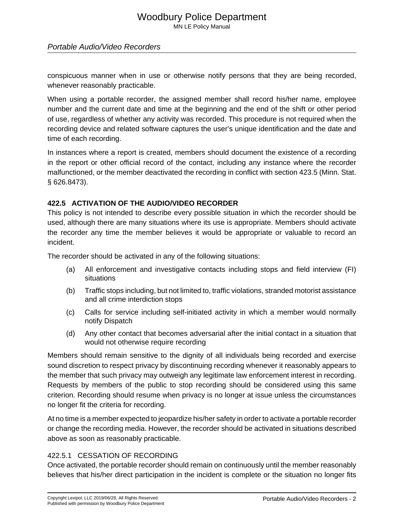## Woodbury Police Department

MN LE Policy Manual

#### Portable Audio/Video Recorders

conspicuous manner when in use or otherwise notify persons that they are being recorded, whenever reasonably practicable.

When using a portable recorder, the assigned member shall record his/her name, employee number and the current date and time at the beginning and the end of the shift or other period of use, regardless of whether any activity was recorded. This procedure is not required when the recording device and related software captures the user's unique identification and the date and time of each recording.

In instances where a report is created, members should document the existence of a recording in the report or other official record of the contact, including any instance where the recorder malfunctioned, or the member deactivated the recording in conflict with section 423.5 (Minn. Stat. § 626.8473).

#### **422.5 ACTIVATION OF THE AUDIO/VIDEO RECORDER**

This policy is not intended to describe every possible situation in which the recorder should be used, although there are many situations where its use is appropriate. Members should activate the recorder any time the member believes it would be appropriate or valuable to record an incident.

The recorder should be activated in any of the following situations:

- (a) All enforcement and investigative contacts including stops and field interview (FI) situations
- (b) Traffic stops including, but not limited to, traffic violations, stranded motorist assistance and all crime interdiction stops
- (c) Calls for service including self-initiated activity in which a member would normally notify Dispatch
- (d) Any other contact that becomes adversarial after the initial contact in a situation that would not otherwise require recording

Members should remain sensitive to the dignity of all individuals being recorded and exercise sound discretion to respect privacy by discontinuing recording whenever it reasonably appears to the member that such privacy may outweigh any legitimate law enforcement interest in recording. Requests by members of the public to stop recording should be considered using this same criterion. Recording should resume when privacy is no longer at issue unless the circumstances no longer fit the criteria for recording.

At no time is a member expected to jeopardize his/her safety in order to activate a portable recorder or change the recording media. However, the recorder should be activated in situations described above as soon as reasonably practicable.

#### 422.5.1 CESSATION OF RECORDING

Once activated, the portable recorder should remain on continuously until the member reasonably believes that his/her direct participation in the incident is complete or the situation no longer fits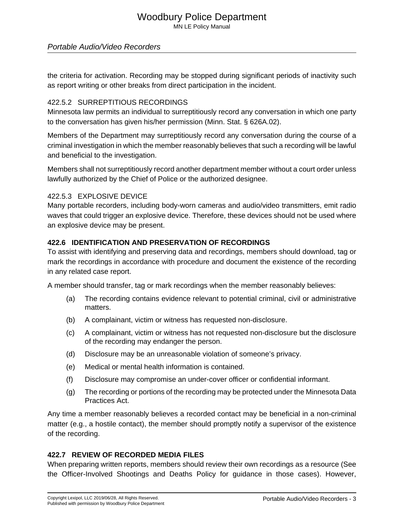## Woodbury Police Department

MN LE Policy Manual

#### Portable Audio/Video Recorders

the criteria for activation. Recording may be stopped during significant periods of inactivity such as report writing or other breaks from direct participation in the incident.

#### 422.5.2 SURREPTITIOUS RECORDINGS

Minnesota law permits an individual to surreptitiously record any conversation in which one party to the conversation has given his/her permission (Minn. Stat. § 626A.02).

Members of the Department may surreptitiously record any conversation during the course of a criminal investigation in which the member reasonably believes that such a recording will be lawful and beneficial to the investigation.

Members shall not surreptitiously record another department member without a court order unless lawfully authorized by the Chief of Police or the authorized designee.

#### 422.5.3 EXPLOSIVE DEVICE

Many portable recorders, including body-worn cameras and audio/video transmitters, emit radio waves that could trigger an explosive device. Therefore, these devices should not be used where an explosive device may be present.

#### **422.6 IDENTIFICATION AND PRESERVATION OF RECORDINGS**

To assist with identifying and preserving data and recordings, members should download, tag or mark the recordings in accordance with procedure and document the existence of the recording in any related case report.

A member should transfer, tag or mark recordings when the member reasonably believes:

- (a) The recording contains evidence relevant to potential criminal, civil or administrative matters.
- (b) A complainant, victim or witness has requested non-disclosure.
- (c) A complainant, victim or witness has not requested non-disclosure but the disclosure of the recording may endanger the person.
- (d) Disclosure may be an unreasonable violation of someone's privacy.
- (e) Medical or mental health information is contained.
- (f) Disclosure may compromise an under-cover officer or confidential informant.
- (g) The recording or portions of the recording may be protected under the Minnesota Data Practices Act.

Any time a member reasonably believes a recorded contact may be beneficial in a non-criminal matter (e.g., a hostile contact), the member should promptly notify a supervisor of the existence of the recording.

#### **422.7 REVIEW OF RECORDED MEDIA FILES**

When preparing written reports, members should review their own recordings as a resource (See the Officer-Involved Shootings and Deaths Policy for guidance in those cases). However,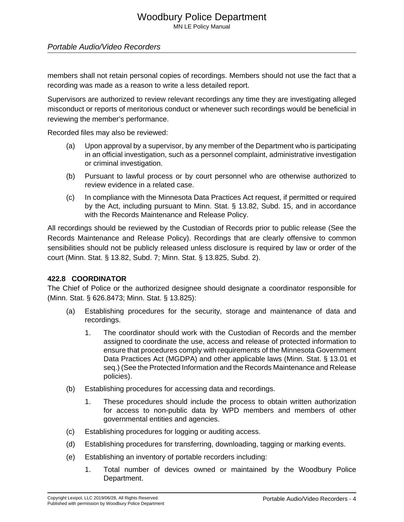#### Portable Audio/Video Recorders

members shall not retain personal copies of recordings. Members should not use the fact that a recording was made as a reason to write a less detailed report.

Supervisors are authorized to review relevant recordings any time they are investigating alleged misconduct or reports of meritorious conduct or whenever such recordings would be beneficial in reviewing the member's performance.

Recorded files may also be reviewed:

- (a) Upon approval by a supervisor, by any member of the Department who is participating in an official investigation, such as a personnel complaint, administrative investigation or criminal investigation.
- (b) Pursuant to lawful process or by court personnel who are otherwise authorized to review evidence in a related case.
- (c) In compliance with the Minnesota Data Practices Act request, if permitted or required by the Act, including pursuant to Minn. Stat. § 13.82, Subd. 15, and in accordance with the Records Maintenance and Release Policy.

All recordings should be reviewed by the Custodian of Records prior to public release (See the Records Maintenance and Release Policy). Recordings that are clearly offensive to common sensibilities should not be publicly released unless disclosure is required by law or order of the court (Minn. Stat. § 13.82, Subd. 7; Minn. Stat. § 13.825, Subd. 2).

#### **422.8 COORDINATOR**

The Chief of Police or the authorized designee should designate a coordinator responsible for (Minn. Stat. § 626.8473; Minn. Stat. § 13.825):

- (a) Establishing procedures for the security, storage and maintenance of data and recordings.
	- 1. The coordinator should work with the Custodian of Records and the member assigned to coordinate the use, access and release of protected information to ensure that procedures comply with requirements of the Minnesota Government Data Practices Act (MGDPA) and other applicable laws (Minn. Stat. § 13.01 et seq.) (See the Protected Information and the Records Maintenance and Release policies).
- (b) Establishing procedures for accessing data and recordings.
	- 1. These procedures should include the process to obtain written authorization for access to non-public data by WPD members and members of other governmental entities and agencies.
- (c) Establishing procedures for logging or auditing access.
- (d) Establishing procedures for transferring, downloading, tagging or marking events.
- (e) Establishing an inventory of portable recorders including:
	- 1. Total number of devices owned or maintained by the Woodbury Police Department.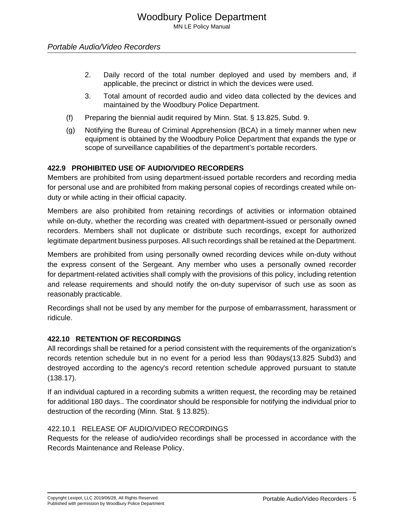- 2. Daily record of the total number deployed and used by members and, if applicable, the precinct or district in which the devices were used.
- 3. Total amount of recorded audio and video data collected by the devices and maintained by the Woodbury Police Department.
- (f) Preparing the biennial audit required by Minn. Stat. § 13.825, Subd. 9.
- (g) Notifying the Bureau of Criminal Apprehension (BCA) in a timely manner when new equipment is obtained by the Woodbury Police Department that expands the type or scope of surveillance capabilities of the department's portable recorders.

#### **422.9 PROHIBITED USE OF AUDIO/VIDEO RECORDERS**

Members are prohibited from using department-issued portable recorders and recording media for personal use and are prohibited from making personal copies of recordings created while onduty or while acting in their official capacity.

Members are also prohibited from retaining recordings of activities or information obtained while on-duty, whether the recording was created with department-issued or personally owned recorders. Members shall not duplicate or distribute such recordings, except for authorized legitimate department business purposes. All such recordings shall be retained at the Department.

Members are prohibited from using personally owned recording devices while on-duty without the express consent of the Sergeant. Any member who uses a personally owned recorder for department-related activities shall comply with the provisions of this policy, including retention and release requirements and should notify the on-duty supervisor of such use as soon as reasonably practicable.

Recordings shall not be used by any member for the purpose of embarrassment, harassment or ridicule.

#### **422.10 RETENTION OF RECORDINGS**

All recordings shall be retained for a period consistent with the requirements of the organization's records retention schedule but in no event for a period less than 90days(13.825 Subd3) and destroyed according to the agency's record retention schedule approved pursuant to statute (138.17).

If an individual captured in a recording submits a written request, the recording may be retained for additional 180 days.. The coordinator should be responsible for notifying the individual prior to destruction of the recording (Minn. Stat. § 13.825).

#### 422.10.1 RELEASE OF AUDIO/VIDEO RECORDINGS

Requests for the release of audio/video recordings shall be processed in accordance with the Records Maintenance and Release Policy.